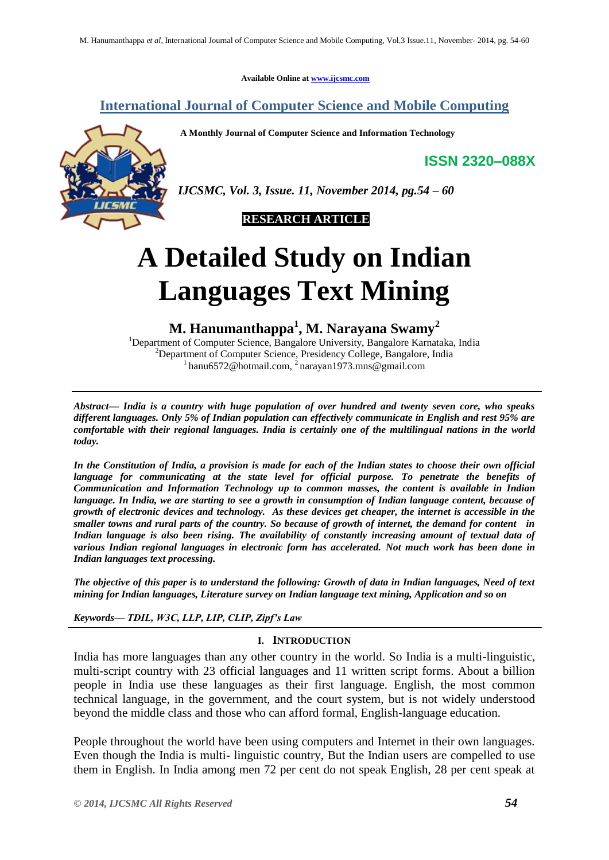**Available Online at [www.ijcsmc.com](http://www.ijcsmc.com/)**

# **International Journal of Computer Science and Mobile Computing**

**A Monthly Journal of Computer Science and Information Technology**



**ISSN 2320–088X**

*IJCSMC, Vol. 3, Issue. 11, November 2014, pg.54 – 60*



# **A Detailed Study on Indian Languages Text Mining**

**M. Hanumanthappa<sup>1</sup> , M. Narayana Swamy<sup>2</sup>**

<sup>1</sup>Department of Computer Science, Bangalore University, Bangalore Karnataka, India <sup>2</sup>Department of Computer Science, Presidency College, Bangalore, India <sup>1</sup> [hanu6572@hotmail.com,](mailto:hanu6572@hotmail.com) <sup>2</sup> [narayan1973.mns@gmail.com](mailto:2%20narayan1973.mns@gmail.com)

*Abstract— India is a country with huge population of over hundred and twenty seven core, who speaks different languages. Only 5% of Indian population can effectively communicate in English and rest 95% are comfortable with their regional languages. India is certainly one of the multilingual nations in the world today.* 

*In the Constitution of India, a provision is made for each of the Indian states to choose their own official language for communicating at the state level for official purpose. To penetrate the benefits of Communication and Information Technology up to common masses, the content is available in Indian language. In India, we are starting to see a growth in consumption of Indian language content, because of growth of electronic devices and technology. As these devices get cheaper, the internet is accessible in the smaller towns and rural parts of the country. So because of growth of internet, the demand for content in Indian language is also been rising. The availability of constantly increasing amount of textual data of various Indian regional languages in electronic form has accelerated. Not much work has been done in Indian languages text processing.* 

*The objective of this paper is to understand the following: Growth of data in Indian languages, Need of text mining for Indian languages, Literature survey on Indian language text mining, Application and so on* 

*Keywords— TDIL, W3C, LLP, LIP, CLIP, Zipf's Law*

## **I. INTRODUCTION**

India has more languages than any other country in the world. So India is a multi-linguistic, multi-script country with 23 official languages and 11 written script forms. About a billion people in India use these languages as their first language. English, the most common technical language, in the government, and the court system, but is not widely understood beyond the middle class and those who can afford formal, English-language education.

People throughout the world have been using computers and Internet in their own languages. Even though the India is multi- linguistic country, But the Indian users are compelled to use them in English. In India among men 72 per cent do not speak English, 28 per cent speak at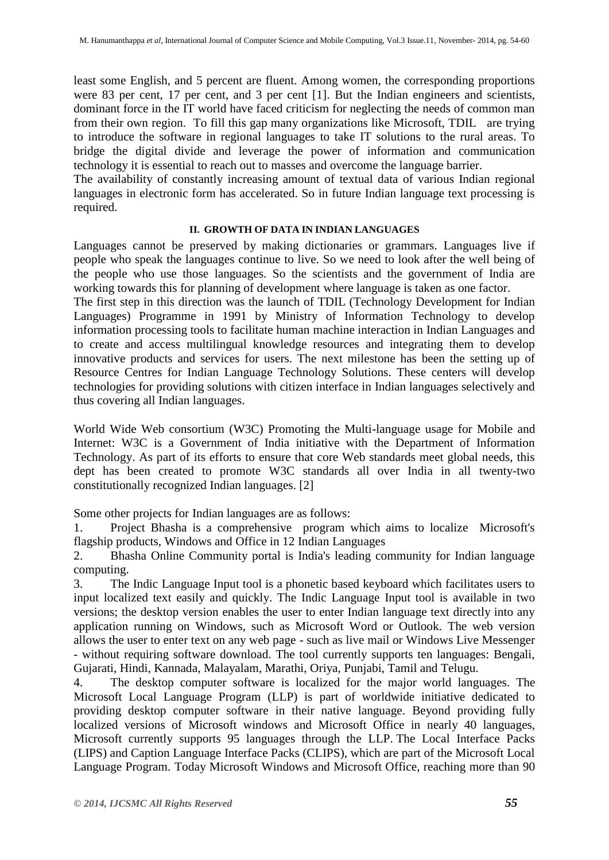least some English, and 5 percent are fluent. Among women, the corresponding proportions were 83 per cent, 17 per cent, and 3 per cent [1]. But the Indian engineers and scientists, dominant force in the IT world have faced criticism for neglecting the needs of common man from their own region. To fill this gap many organizations like Microsoft, TDIL are trying to introduce the software in regional languages to take IT solutions to the rural areas. To bridge the digital divide and leverage the power of information and communication technology it is essential to reach out to masses and overcome the language barrier.

The availability of constantly increasing amount of textual data of various Indian regional languages in electronic form has accelerated. So in future Indian language text processing is required.

# **II. GROWTH OF DATA IN INDIAN LANGUAGES**

Languages cannot be preserved by making dictionaries or grammars. Languages live if people who speak the languages continue to live. So we need to look after the well being of the people who use those languages. So the scientists and the government of India are working towards this for planning of development where language is taken as one factor.

The first step in this direction was the launch of TDIL (Technology Development for Indian Languages) Programme in 1991 by Ministry of Information Technology to develop information processing tools to facilitate human machine interaction in Indian Languages and to create and access multilingual knowledge resources and integrating them to develop innovative products and services for users. The next milestone has been the setting up of Resource Centres for Indian Language Technology Solutions. These centers will develop technologies for providing solutions with citizen interface in Indian languages selectively and thus covering all Indian languages.

World Wide Web consortium (W3C) Promoting the Multi-language usage for Mobile and Internet: W3C is a Government of India initiative with the Department of Information Technology. As part of its efforts to ensure that core Web standards meet global needs, this dept has been created to promote W3C standards all over India in all twenty-two constitutionally recognized Indian languages. [2]

Some other projects for Indian languages are as follows:

1. Project Bhasha is a comprehensive program which aims to localize Microsoft's flagship products, Windows and Office in 12 Indian Languages

2. Bhasha Online Community portal is India's leading community for Indian language computing.

3. The Indic Language Input tool is a phonetic based keyboard which facilitates users to input localized text easily and quickly. The Indic Language Input tool is available in two versions; the desktop version enables the user to enter Indian language text directly into any application running on Windows, such as Microsoft Word or Outlook. The web version allows the user to enter text on any web page - such as live mail or Windows Live Messenger - without requiring software download. The tool currently supports ten languages: Bengali, Gujarati, Hindi, Kannada, Malayalam, Marathi, Oriya, Punjabi, Tamil and Telugu.

4. The desktop computer software is localized for the major world languages. The Microsoft Local Language Program (LLP) is part of worldwide initiative dedicated to providing desktop computer software in their native language. Beyond providing fully localized versions of Microsoft windows and Microsoft Office in nearly 40 languages, Microsoft currently supports 95 languages through the LLP. The Local Interface Packs (LIPS) and Caption Language Interface Packs (CLIPS), which are part of the Microsoft Local Language Program. Today Microsoft Windows and Microsoft Office, reaching more than 90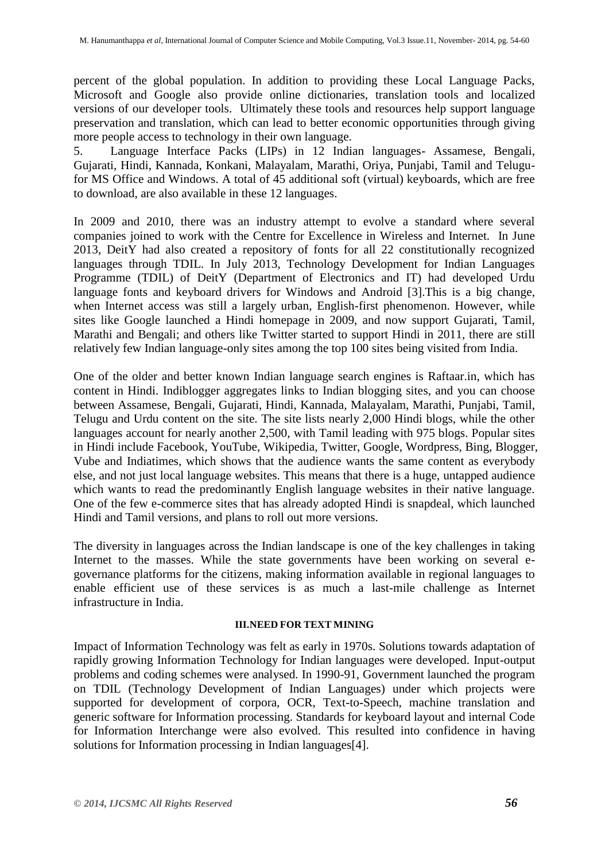percent of the global population. In addition to providing these Local Language Packs, Microsoft and Google also provide online dictionaries, translation tools and localized versions of our developer tools. Ultimately these tools and resources help support language preservation and translation, which can lead to better economic opportunities through giving more people access to technology in their own language.

5. Language Interface Packs (LIPs) in 12 Indian languages- Assamese, Bengali, Gujarati, Hindi, Kannada, Konkani, Malayalam, Marathi, Oriya, Punjabi, Tamil and Telugufor MS Office and Windows. A total of 45 additional soft (virtual) keyboards, which are free to download, are also available in these 12 languages.

In 2009 and 2010, there was an industry attempt to evolve a standard where several companies joined to work with the Centre for Excellence in Wireless and Internet. In June 2013, DeitY had also created a repository of fonts for all 22 constitutionally recognized languages through TDIL. In July 2013, Technology Development for Indian Languages Programme (TDIL) of DeitY (Department of Electronics and IT) had developed Urdu language fonts and keyboard drivers for Windows and Android [3].This is a big change, when Internet access was still a largely urban, English-first phenomenon. However, while sites like Google launched a Hindi homepage in 2009, and now support Gujarati, Tamil, Marathi and Bengali; and others like Twitter started to support Hindi in 2011, there are still relatively few Indian language-only sites among the top 100 sites being visited from India.

One of the older and better known Indian language search engines is Raftaar.in, which has content in Hindi. Indiblogger aggregates links to Indian blogging sites, and you can choose between Assamese, Bengali, Gujarati, Hindi, Kannada, Malayalam, Marathi, Punjabi, Tamil, Telugu and Urdu content on the site. The site lists nearly 2,000 Hindi blogs, while the other languages account for nearly another 2,500, with Tamil leading with 975 blogs. Popular sites in Hindi include Facebook, YouTube, Wikipedia, Twitter, Google, Wordpress, Bing, Blogger, Vube and Indiatimes, which shows that the audience wants the same content as everybody else, and not just local language websites. This means that there is a huge, untapped audience which wants to read the predominantly English language websites in their native language. One of the few e-commerce sites that has already adopted Hindi is snapdeal, which launched Hindi and Tamil versions, and plans to roll out more versions.

The diversity in languages across the Indian landscape is one of the key challenges in taking Internet to the masses. While the state governments have been working on several egovernance platforms for the citizens, making information available in regional languages to enable efficient use of these services is as much a last-mile challenge as Internet infrastructure in India.

#### **III.NEED FOR TEXT MINING**

Impact of Information Technology was felt as early in 1970s. Solutions towards adaptation of rapidly growing Information Technology for Indian languages were developed. Input-output problems and coding schemes were analysed. In 1990-91, Government launched the program on TDIL (Technology Development of Indian Languages) under which projects were supported for development of corpora, OCR, Text-to-Speech, machine translation and generic software for Information processing. Standards for keyboard layout and internal Code for Information Interchange were also evolved. This resulted into confidence in having solutions for Information processing in Indian languages[4].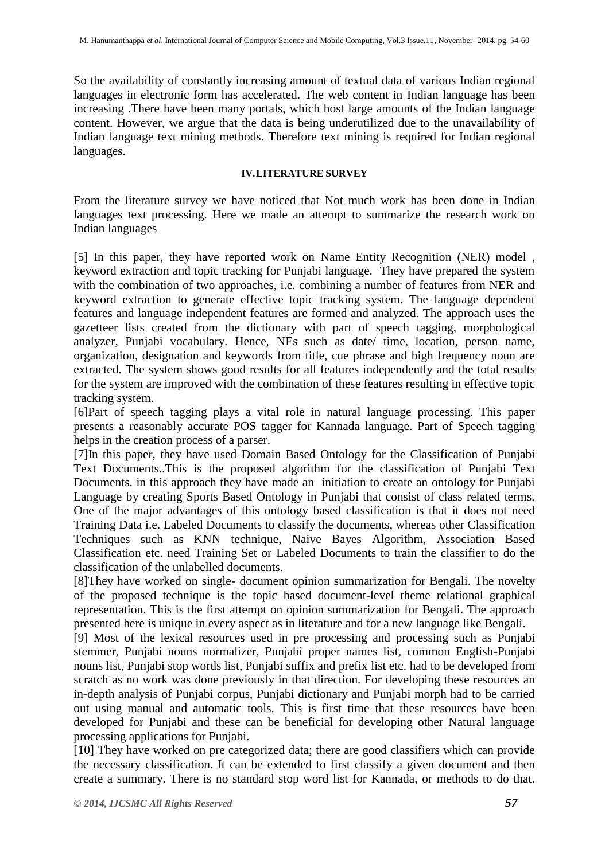So the availability of constantly increasing amount of textual data of various Indian regional languages in electronic form has accelerated. The web content in Indian language has been increasing .There have been many portals, which host large amounts of the Indian language content. However, we argue that the data is being underutilized due to the unavailability of Indian language text mining methods. Therefore text mining is required for Indian regional languages.

### **IV.LITERATURE SURVEY**

From the literature survey we have noticed that Not much work has been done in Indian languages text processing. Here we made an attempt to summarize the research work on Indian languages

[5] In this paper, they have reported work on Name Entity Recognition (NER) model , keyword extraction and topic tracking for Punjabi language. They have prepared the system with the combination of two approaches, i.e. combining a number of features from NER and keyword extraction to generate effective topic tracking system. The language dependent features and language independent features are formed and analyzed. The approach uses the gazetteer lists created from the dictionary with part of speech tagging, morphological analyzer, Punjabi vocabulary. Hence, NEs such as date/ time, location, person name, organization, designation and keywords from title, cue phrase and high frequency noun are extracted. The system shows good results for all features independently and the total results for the system are improved with the combination of these features resulting in effective topic tracking system.

[6]Part of speech tagging plays a vital role in natural language processing. This paper presents a reasonably accurate POS tagger for Kannada language. Part of Speech tagging helps in the creation process of a parser.

[7]In this paper, they have used Domain Based Ontology for the Classification of Punjabi Text Documents..This is the proposed algorithm for the classification of Punjabi Text Documents. in this approach they have made an initiation to create an ontology for Punjabi Language by creating Sports Based Ontology in Punjabi that consist of class related terms. One of the major advantages of this ontology based classification is that it does not need Training Data i.e. Labeled Documents to classify the documents, whereas other Classification Techniques such as KNN technique, Naive Bayes Algorithm, Association Based Classification etc. need Training Set or Labeled Documents to train the classifier to do the classification of the unlabelled documents.

[8]They have worked on single- document opinion summarization for Bengali. The novelty of the proposed technique is the topic based document-level theme relational graphical representation. This is the first attempt on opinion summarization for Bengali. The approach presented here is unique in every aspect as in literature and for a new language like Bengali.

[9] Most of the lexical resources used in pre processing and processing such as Punjabi stemmer, Punjabi nouns normalizer, Punjabi proper names list, common English-Punjabi nouns list, Punjabi stop words list, Punjabi suffix and prefix list etc. had to be developed from scratch as no work was done previously in that direction. For developing these resources an in-depth analysis of Punjabi corpus, Punjabi dictionary and Punjabi morph had to be carried out using manual and automatic tools. This is first time that these resources have been developed for Punjabi and these can be beneficial for developing other Natural language processing applications for Punjabi.

[10] They have worked on pre categorized data; there are good classifiers which can provide the necessary classification. It can be extended to first classify a given document and then create a summary. There is no standard stop word list for Kannada, or methods to do that.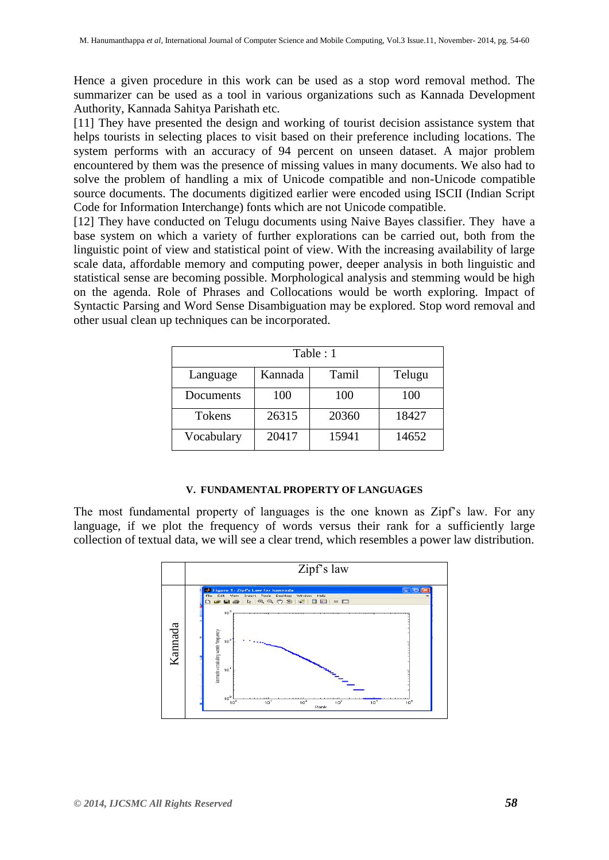Hence a given procedure in this work can be used as a stop word removal method. The summarizer can be used as a tool in various organizations such as Kannada Development Authority, Kannada Sahitya Parishath etc.

[11] They have presented the design and working of tourist decision assistance system that helps tourists in selecting places to visit based on their preference including locations. The system performs with an accuracy of 94 percent on unseen dataset. A major problem encountered by them was the presence of missing values in many documents. We also had to solve the problem of handling a mix of Unicode compatible and non-Unicode compatible source documents. The documents digitized earlier were encoded using ISCII (Indian Script Code for Information Interchange) fonts which are not Unicode compatible.

[12] They have conducted on Telugu documents using Naive Bayes classifier. They have a base system on which a variety of further explorations can be carried out, both from the linguistic point of view and statistical point of view. With the increasing availability of large scale data, affordable memory and computing power, deeper analysis in both linguistic and statistical sense are becoming possible. Morphological analysis and stemming would be high on the agenda. Role of Phrases and Collocations would be worth exploring. Impact of Syntactic Parsing and Word Sense Disambiguation may be explored. Stop word removal and other usual clean up techniques can be incorporated.

| Table: 1      |         |       |        |
|---------------|---------|-------|--------|
| Language      | Kannada | Tamil | Telugu |
| Documents     | 100     | 100   | 100    |
| <b>Tokens</b> | 26315   | 20360 | 18427  |
| Vocabulary    | 20417   | 15941 | 14652  |

#### **V. FUNDAMENTAL PROPERTY OF LANGUAGES**

The most fundamental property of languages is the one known as Zipf's law. For any language, if we plot the frequency of words versus their rank for a sufficiently large collection of textual data, we will see a clear trend, which resembles a power law distribution.

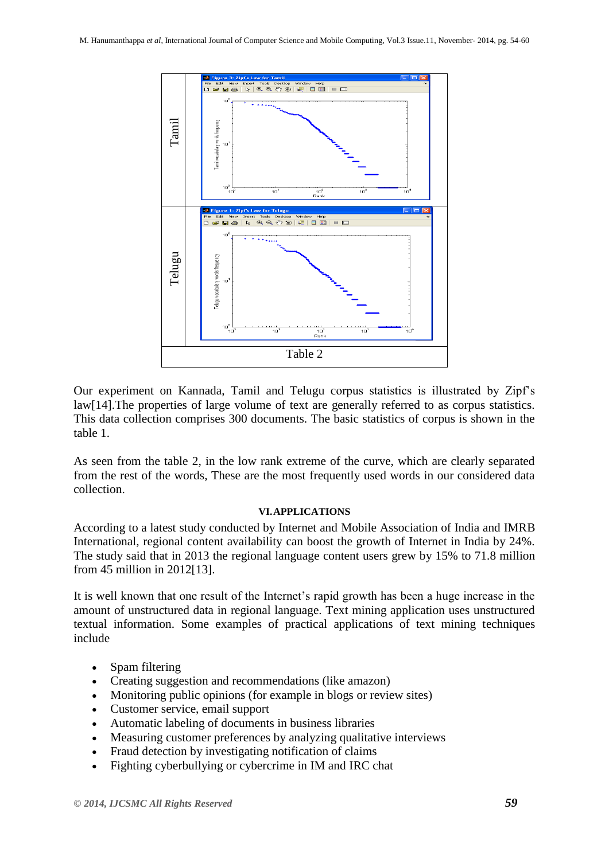

Our experiment on Kannada, Tamil and Telugu corpus statistics is illustrated by Zipf's law[14].The properties of large volume of text are generally referred to as corpus statistics. This data collection comprises 300 documents. The basic statistics of corpus is shown in the table 1.

As seen from the table 2, in the low rank extreme of the curve, which are clearly separated from the rest of the words, These are the most frequently used words in our considered data collection.

#### **VI.APPLICATIONS**

According to a latest study conducted by Internet and Mobile Association of India and IMRB International, regional content availability can boost the growth of Internet in India by 24%. The study said that in 2013 the regional language content users grew by 15% to 71.8 million from 45 million in 2012[13].

It is well known that one result of the Internet's rapid growth has been a huge increase in the amount of unstructured data in regional language. Text mining application uses unstructured textual information. Some examples of practical applications of text mining techniques include

- Spam filtering
- Creating suggestion and recommendations (like amazon)
- Monitoring public opinions (for example in blogs or review sites)
- Customer service, email support
- Automatic labeling of documents in business libraries
- Measuring customer preferences by analyzing qualitative interviews
- Fraud detection by investigating notification of claims
-